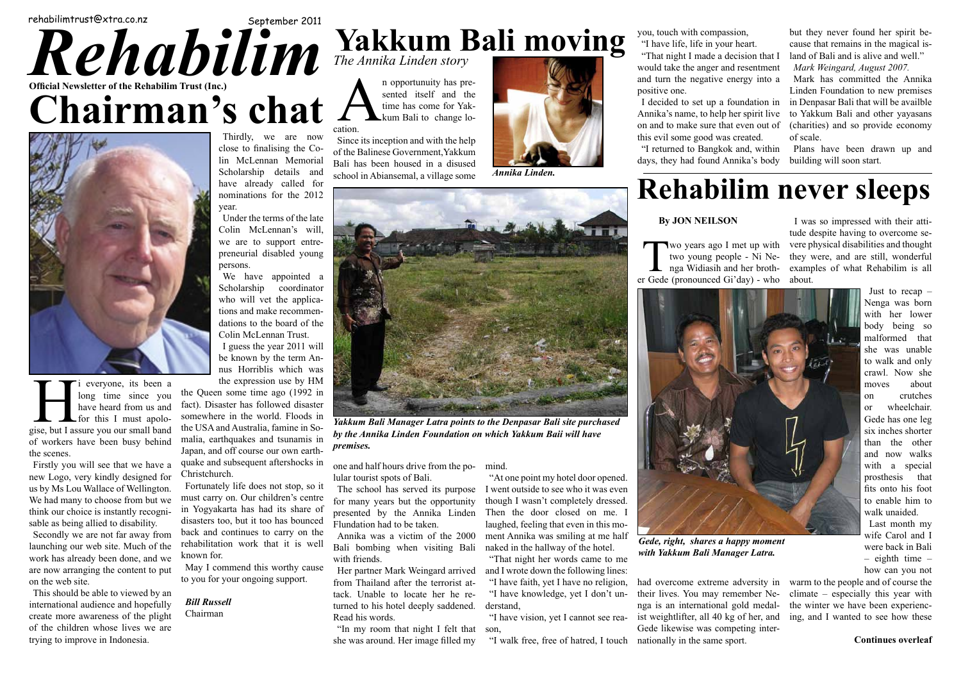# R ehabilim

# *Rehabilim* Trust (Inc.) **Official Newsletter of the Rehabilim Trust (Inc.)** rehabilimtrust@xtra.co.nz September 2011 **Rehabi Chairman' Trust is a set of consolidation few Chairman's chat**



**Balic of the Trust of the Trust of the Trust of the Trust of the Trust of the Trust of the Trust of the Trust of the Trust of the Trust of the Trust of the Trust of the Trust of the Trust of the Trust of the Trust of the Wayan was a chance of reduced by the chance of reduced by the chance of reduced by the chance of reduced by the chance of reduced by the chance of reduced by the chance of reduced by the chance of reduced by the chance of the contract of the brighter future of a brighter future.** And **hadn't heard what had happened** 



**woman Runnika Linden.** The same of the same of the same of the same of the same of the same of the same of the same of the same of the same of the same of the same of the same of the same of the same of the same of the sa

"In my room that night I felt that she was around. Her image filled my **little and scratched out a living from** 

## **any education. In Indonesia such children are not considered worthwhile educating or for any employment. Their future was very bleak Rehabilim never sleeps**



*Gede, right, shares a happy moment* will write the various verse had *so with Yakkum Bali Manager Latra. n* **and** *s* **and** *s* **and** *s* **and** *s* **and** *s* **and** *s* **and** *s* **and** *s* **and** *s* **and** *s* **and** *s* **and** *s* **and** *s* **and** *s* **and** *s* **and** *s* **and** *s* **and** *s* **and** *s* **and** *s* **and** *s* **and** *s* **an** 

long time since you the Queen have heard from us and fact). Dis for this I must apolo- somewhere Bose, but I ussue you can sinute random **look for the first recipient of the scenes** Japan, and Interval a contract the since you have heard from us and for this I must apologise, but I assure you our small band the scenes.

**Scholars** Firstly you will see that we have a quake and mew Logo, very kindly designed for **Christchu we end all be a least first filter** we have the we have the set of Wellington. Fortune We have many to choose nome out we will have the media about the second in Yogyal **think our choice is instantly recogni-** in Yogyal **many people as being amed to disability. ensurers** We had many to choose from but we sable as being allied to disability.

**respectively we are not far away from back and secondly we are not far away from back and** launching our web site. Much of the **relativities** work has already been done, and we<br>May Lex are now arranging the content to put May I content to put on the web site.

This should be able to viewed by an international audience and hopefully **Bill Rus**. create more awareness of the plight Chairm of the children whose lives we are trying to improve in Indonesia.

## **Exampler 2011 Vakkum Bali moving** when **challenges. During a recent Bali holiday in Bali my wife and I caught with Walishman Walisman with Way he had the family formation in a motorcycle in a motorcycle in a motorcycle in a motorcycle and in a motorcycle That same year we may be said to be a set of the same of the same of the same of the same of the same of the same of the same of the same of the same of the same of the same of the same of the same of the same of the same Yakkum Bali moving** *The Annika Linden story*

n opportunuity has pre-<br>sented itself and the<br>time has come for Yak-<br>kum Bali to change lo-<br>ation. sented itself and the time has come for Yakkum Bali to change lo-

of the Balinese Government, Yakkum Since its inception and with the help Bali has been housed in a disused school in Abiansemal, a village some

**his is to carry on the** Annika was a victim of the 2000 with friends. Bali bombing when visiting Bali

this worthy cause **Her partner Mark Weingard arrived** oing support. **From Thailand after the terrorist at**tack. Unable to locate her he returned to his hotel deeply saddened. Read his words.

had overcome extreme adversity in warm to the people Gede likewise was competing inter-Fin the same sport.<br> **Continues overleaf people making provide making provide the contribute overleaf** their lives. You may remember Nenga is an international gold medal-



world. Thosas in Yakkum Bali Manager Latra points to the Denpasar Bali site purchased **The Value of Ali him.** However, as a *by the Annika Linden Foundation on which Yakkum Baii will have by the Annika Linden Foundation on which Yakkum Baii will have*  $\boldsymbol{\hat{\theta}}$  factor was not the *formises*. *premises.*

ent aftershocks in one and half hours drive from the po-**Wayan has a brother and two signals in the brother and two signals of Bali.** 

 $t_{\text{S}}$  and stop, so it The school has served its purpose children s centre for many years but the opportunity had its share of presented by the Annika Linden too has bounced Flundation had to be taken.

 $\frac{1}{2}$  nu nearly him nearly defining with soon state. days, they had found Annika's body building will soon start. Plans have been drawn up and

We have appointed a  $\left| \right|$ Scholarship coordinator

**not** come back a member of the world bring and he would be written who could be written who could be written who could be written who could be written who could be written who could be written who could be written who cou fact). Disaster has followed disaster somewhere in the world. Floods in the USA and Australia, famine in Somalia, earthquakes and tsunamis in Japan, and off course our own earthquake and subsequent aftershocks in Christchurch.

rehabilitation work that it is well Fortunately life does not stop, so it must carry on. Our children's centre in Yogyakarta has had its share of disasters too, but it too has bounced back and continues to carry on the known for.

**FON NEILSON** I was so impressed with their atti**f** was so impressed with their atti-<br>tude despite having to overcome se**as the family is some set of the family in the set of the set of the set of the set of the set of the set of the set of the set of the set of the set of the set of the set of the set of the set of the set of the set of th Young people - NI Ne-** lifely were, and are sun, wonderful **again With that wonder**  $\alpha$  is a periodic value of what Rehabilim is all  $\alpha$ er Gede (pronounced Gi'day) - who about. they were, and are still, wonderful about.

**5** how can wife Carol and I were back in Bali – eighth time – how can you not

**EXECUTE:** CREADING THE WALKER COMPONED THE VALUE OF PUPPLY THAT COMPONED THE SERVICE OF SUBSECTION IN STREET SERVICE OF SUBSECTION and the disability of the similar treatment and experience in the winter we have been experiencist weightlifter, all 40 kg of her, and ing, and I wanted to see how these warm to the people and of course the

cation.

mind.

"At one point my hotel door opened. I went outside to see who it was even though I wasn't completely dressed. Then the door closed on me. I laughed, feeling that even in this moment Annika was smiling at me half naked in the hallway of the hotel.

"That night her words came to me and I wrote down the following lines:

"I have faith, yet I have no religion, "I have knowledge, yet I don't understand,

"I have vision, yet I cannot see reason,

two young people - Ni Nenga Widiasih and her broth-

"I walk free, free of hatred, I touch nationally in the same sport.

you, touch with compassion,

"I have life, life in your heart.

"That night I made a decision that I would take the anger and resentment and turn the negative energy into a positive one.

on and to make sure that even out of this evil some good was created. "I returned to Bangkok and, within



I decided to set up a foundation in in Denpasar Bali that will be availble Annika's name, to help her spirit live to Yakkum Bali and other yayasans Mark has committed the Annika Linden Foundation to new premises (charities) and so provide economy of scale.

but they never found her spirit because that remains in the magical island of Bali and is alive and well."

*Mark Weingard, August 2007.*

**By JON NEILSON**

**w**o years ago I met up with Wo years ago I met up with<br>two young people - Ni Ne-<br>nga Widiasih and her broth-<br>r Gede (pronounced Gi'day) - who

Thirdly, we are now close to finalising the Colin McLennan Memorial Scholarship details and have already called for nominations for the 2012 year.

Under the terms of the late Colin McLennan's will, we are to support entrepreneurial disabled young persons.

nus Horriblis which was

May I commend this worthy cause to you for your ongoing support.

*Bill Russell* Chairman

Just to recap – Nenga was born with her lower body being so malformed that she was unable to walk and only crawl. Now she moves about on crutches or wheelchair. Gede has one leg